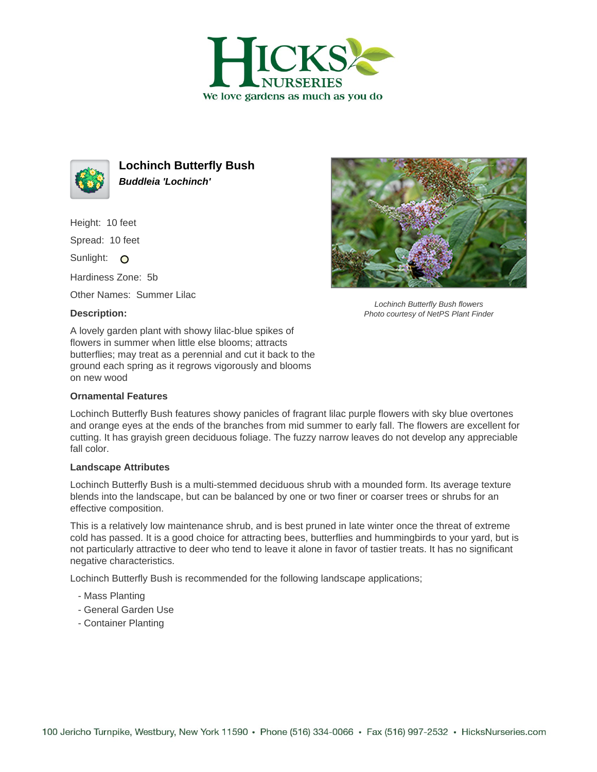



**Lochinch Butterfly Bush Buddleia 'Lochinch'**

Height: 10 feet

Spread: 10 feet

Sunlight: O

Hardiness Zone: 5b

Other Names: Summer Lilac

## **Description:**



Lochinch Butterfly Bush flowers Photo courtesy of NetPS Plant Finder

A lovely garden plant with showy lilac-blue spikes of flowers in summer when little else blooms; attracts butterflies; may treat as a perennial and cut it back to the ground each spring as it regrows vigorously and blooms on new wood

## **Ornamental Features**

Lochinch Butterfly Bush features showy panicles of fragrant lilac purple flowers with sky blue overtones and orange eyes at the ends of the branches from mid summer to early fall. The flowers are excellent for cutting. It has grayish green deciduous foliage. The fuzzy narrow leaves do not develop any appreciable fall color.

## **Landscape Attributes**

Lochinch Butterfly Bush is a multi-stemmed deciduous shrub with a mounded form. Its average texture blends into the landscape, but can be balanced by one or two finer or coarser trees or shrubs for an effective composition.

This is a relatively low maintenance shrub, and is best pruned in late winter once the threat of extreme cold has passed. It is a good choice for attracting bees, butterflies and hummingbirds to your yard, but is not particularly attractive to deer who tend to leave it alone in favor of tastier treats. It has no significant negative characteristics.

Lochinch Butterfly Bush is recommended for the following landscape applications;

- Mass Planting
- General Garden Use
- Container Planting